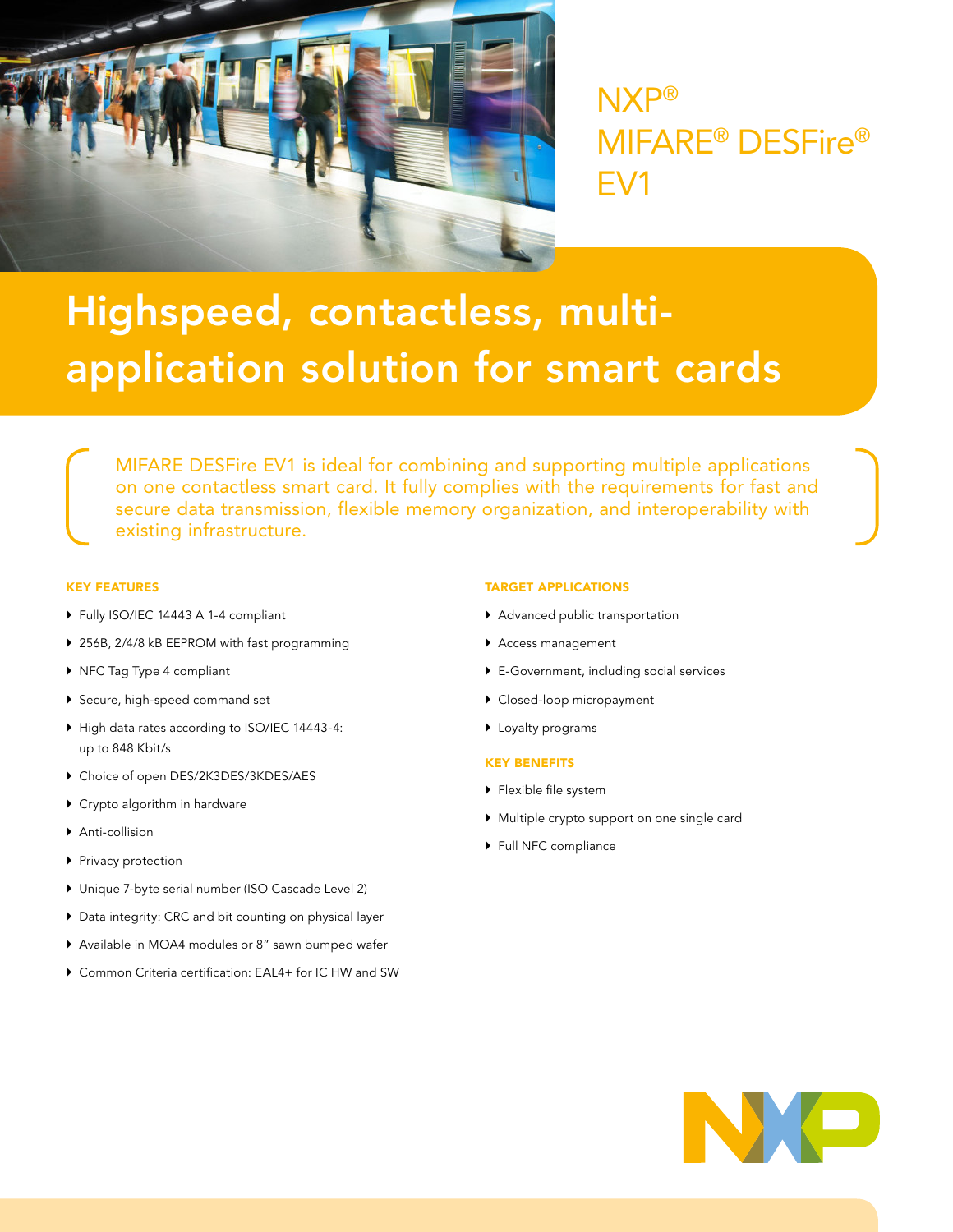

NXP® MIFARE® DESFire® EV1

# Highspeed, contactless, multiapplication solution for smart cards

MIFARE DESFire EV1 is ideal for combining and supporting multiple applications on one contactless smart card. It fully complies with the requirements for fast and secure data transmission, flexible memory organization, and interoperability with existing infrastructure.

## KEY FEATURES

- ` Fully ISO/IEC 14443 A 1-4 compliant
- ▶ 256B, 2/4/8 kB EEPROM with fast programming
- ▶ NFC Tag Type 4 compliant
- ▶ Secure, high-speed command set
- ` High data rates according to ISO/IEC 14443-4: up to 848 Kbit/s
- $\blacktriangleright$  Choice of open DES/2K3DES/3KDES/AES
- $\triangleright$  Crypto algorithm in hardware
- ▶ Anti-collision
- $\blacktriangleright$  Privacy protection
- $\blacktriangleright$  Unique 7-byte serial number (ISO Cascade Level 2)
- $\blacktriangleright$  Data integrity: CRC and bit counting on physical layer
- ▶ Available in MOA4 modules or 8" sawn bumped wafer
- ▶ Common Criteria certification: EAL4+ for IC HW and SW

#### TARGET APPLICATIONS

- $\blacktriangleright$  Advanced public transportation
- ▶ Access management
- $\triangleright$  E-Government, including social services
- $\blacktriangleright$  Closed-loop micropayment
- $\blacktriangleright$  Loyalty programs

## KEY BENEFITS

- $\blacktriangleright$  Flexible file system
- ` Multiple crypto support on one single card
- ▶ Full NFC compliance